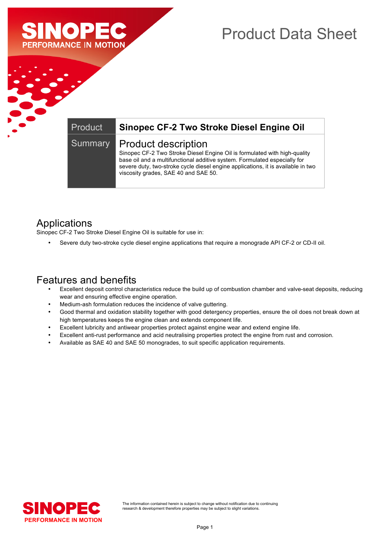

# Product Data Sheet

#### Summary | Product description

Product **Sinopec CF-2 Two Stroke Diesel Engine Oil**

Sinopec CF-2 Two Stroke Diesel Engine Oil is formulated with high-quality base oil and a multifunctional additive system. Formulated especially for severe duty, two-stroke cycle diesel engine applications, it is available in two viscosity grades, SAE 40 and SAE 50.

### Applications

Sinopec CF-2 Two Stroke Diesel Engine Oil is suitable for use in:

• Severe duty two-stroke cycle diesel engine applications that require a monograde API CF-2 or CD-II oil.

### Features and benefits

- Excellent deposit control characteristics reduce the build up of combustion chamber and valve-seat deposits, reducing wear and ensuring effective engine operation.
- Medium-ash formulation reduces the incidence of valve guttering.
- Good thermal and oxidation stability together with good detergency properties, ensure the oil does not break down at high temperatures keeps the engine clean and extends component life.
- Excellent lubricity and antiwear properties protect against engine wear and extend engine life.
- Excellent anti-rust performance and acid neutralising properties protect the engine from rust and corrosion.
- Available as SAE 40 and SAE 50 monogrades, to suit specific application requirements.